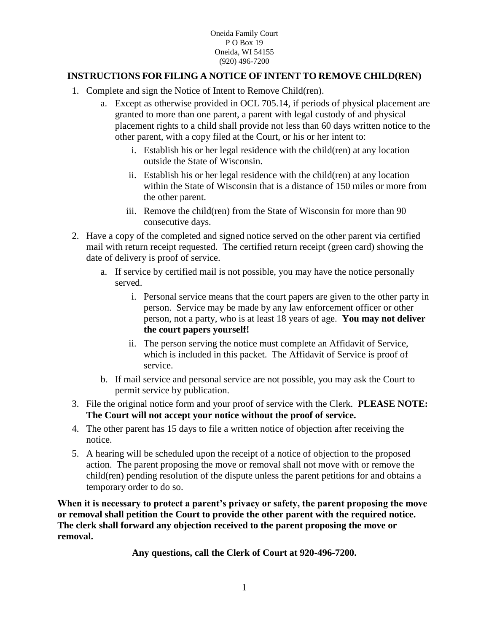Oneida Family Court P O Box 19 Oneida, WI 54155 (920) 496-7200

## **INSTRUCTIONS FOR FILING A NOTICE OF INTENT TO REMOVE CHILD(REN)**

- 1. Complete and sign the Notice of Intent to Remove Child(ren).
	- a. Except as otherwise provided in OCL 705.14, if periods of physical placement are granted to more than one parent, a parent with legal custody of and physical placement rights to a child shall provide not less than 60 days written notice to the other parent, with a copy filed at the Court, or his or her intent to:
		- i. Establish his or her legal residence with the child(ren) at any location outside the State of Wisconsin.
		- ii. Establish his or her legal residence with the child(ren) at any location within the State of Wisconsin that is a distance of 150 miles or more from the other parent.
		- iii. Remove the child(ren) from the State of Wisconsin for more than 90 consecutive days.
- 2. Have a copy of the completed and signed notice served on the other parent via certified mail with return receipt requested. The certified return receipt (green card) showing the date of delivery is proof of service.
	- a. If service by certified mail is not possible, you may have the notice personally served.
		- i. Personal service means that the court papers are given to the other party in person. Service may be made by any law enforcement officer or other person, not a party, who is at least 18 years of age. **You may not deliver the court papers yourself!**
		- ii. The person serving the notice must complete an Affidavit of Service, which is included in this packet. The Affidavit of Service is proof of service.
	- b. If mail service and personal service are not possible, you may ask the Court to permit service by publication.
- 3. File the original notice form and your proof of service with the Clerk. **PLEASE NOTE: The Court will not accept your notice without the proof of service.**
- 4. The other parent has 15 days to file a written notice of objection after receiving the notice.
- 5. A hearing will be scheduled upon the receipt of a notice of objection to the proposed action. The parent proposing the move or removal shall not move with or remove the child(ren) pending resolution of the dispute unless the parent petitions for and obtains a temporary order to do so.

**When it is necessary to protect a parent's privacy or safety, the parent proposing the move or removal shall petition the Court to provide the other parent with the required notice. The clerk shall forward any objection received to the parent proposing the move or removal.**

**Any questions, call the Clerk of Court at 920-496-7200.**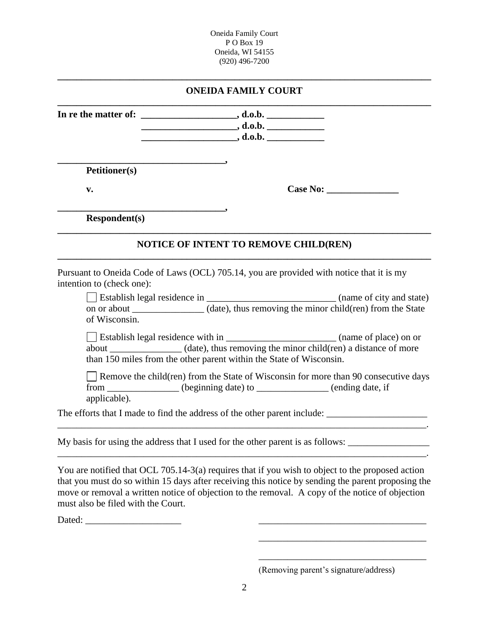Oneida Family Court P O Box 19 Oneida, WI 54155 (920) 496-7200

## **\_\_\_\_\_\_\_\_\_\_\_\_\_\_\_\_\_\_\_\_\_\_\_\_\_\_\_\_\_\_\_\_\_\_\_\_\_\_\_\_\_\_\_\_\_\_\_\_\_\_\_\_\_\_\_\_\_\_\_\_\_\_\_\_\_\_\_\_\_\_\_\_\_\_\_\_\_\_ ONEIDA FAMILY COURT**

|                                                                     | $\begin{array}{c}\n\hline\n\hline\n\hline\n\end{array}$ , d.o.b.                                                                                                       |
|---------------------------------------------------------------------|------------------------------------------------------------------------------------------------------------------------------------------------------------------------|
|                                                                     |                                                                                                                                                                        |
|                                                                     |                                                                                                                                                                        |
| <b>Petitioner(s)</b>                                                |                                                                                                                                                                        |
| v.                                                                  |                                                                                                                                                                        |
| <b>Respondent(s)</b>                                                |                                                                                                                                                                        |
|                                                                     | <b>NOTICE OF INTENT TO REMOVE CHILD(REN)</b>                                                                                                                           |
| intention to (check one):                                           | Pursuant to Oneida Code of Laws (OCL) 705.14, you are provided with notice that it is my                                                                               |
|                                                                     |                                                                                                                                                                        |
| of Wisconsin.                                                       |                                                                                                                                                                        |
|                                                                     |                                                                                                                                                                        |
|                                                                     | about ______________(date), thus removing the minor child(ren) a distance of more                                                                                      |
| than 150 miles from the other parent within the State of Wisconsin. |                                                                                                                                                                        |
| applicable).                                                        | $\Box$ Remove the child (ren) from the State of Wisconsin for more than 90 consecutive days<br>from ______________ (beginning date) to ______________ (ending date, if |
|                                                                     | The efforts that I made to find the address of the other parent include: ___________________________                                                                   |
|                                                                     | My basis for using the address that I used for the other parent is as follows:                                                                                         |

You are notified that OCL 705.14-3(a) requires that if you wish to object to the proposed action that you must do so within 15 days after receiving this notice by sending the parent proposing the move or removal a written notice of objection to the removal. A copy of the notice of objection must also be filed with the Court.

Dated: \_\_\_\_\_\_\_\_\_\_\_\_\_\_\_\_\_\_\_\_ \_\_\_\_\_\_\_\_\_\_\_\_\_\_\_\_\_\_\_\_\_\_\_\_\_\_\_\_\_\_\_\_\_\_\_

(Removing parent's signature/address)

\_\_\_\_\_\_\_\_\_\_\_\_\_\_\_\_\_\_\_\_\_\_\_\_\_\_\_\_\_\_\_\_\_\_\_

\_\_\_\_\_\_\_\_\_\_\_\_\_\_\_\_\_\_\_\_\_\_\_\_\_\_\_\_\_\_\_\_\_\_\_